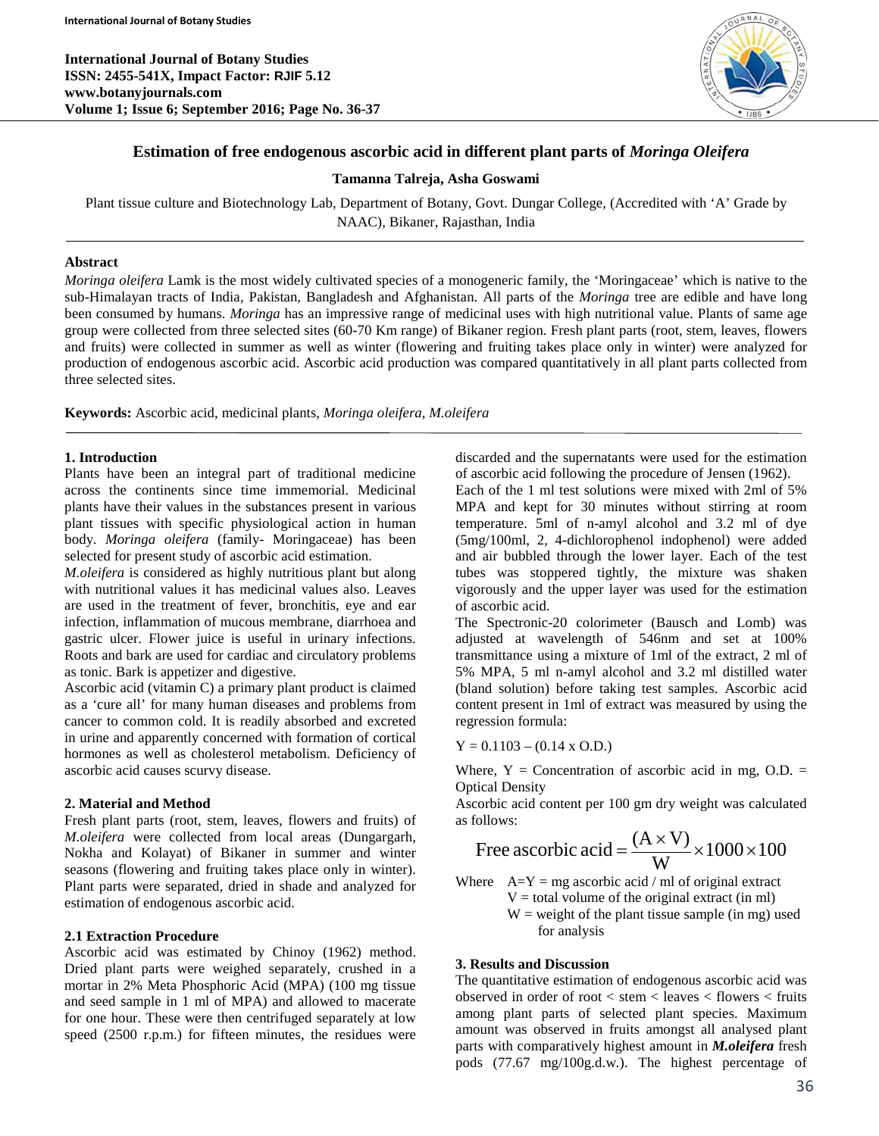**International Journal of Botany Studies ISSN: 2455-541X, Impact Factor: RJIF 5.12 www.botanyjournals.com Volume 1; Issue 6; September 2016; Page No. 36-37**



# **Estimation of free endogenous ascorbic acid in different plant parts of** *Moringa Oleifera*

**Tamanna Talreja, Asha Goswami**

Plant tissue culture and Biotechnology Lab, Department of Botany, Govt. Dungar College, (Accredited with 'A' Grade by NAAC), Bikaner, Rajasthan, India

### **Abstract**

*Moringa oleifera* Lamk is the most widely cultivated species of a monogeneric family, the 'Moringaceae' which is native to the sub-Himalayan tracts of India, Pakistan, Bangladesh and Afghanistan. All parts of the *Moringa* tree are edible and have long been consumed by humans. *Moringa* has an impressive range of medicinal uses with high nutritional value. Plants of same age group were collected from three selected sites (60-70 Km range) of Bikaner region. Fresh plant parts (root, stem, leaves, flowers and fruits) were collected in summer as well as winter (flowering and fruiting takes place only in winter) were analyzed for production of endogenous ascorbic acid. Ascorbic acid production was compared quantitatively in all plant parts collected from three selected sites.

**Keywords:** Ascorbic acid, medicinal plants, *Moringa oleifera, M.oleifera*

## **1. Introduction**

Plants have been an integral part of traditional medicine across the continents since time immemorial. Medicinal plants have their values in the substances present in various plant tissues with specific physiological action in human body. *Moringa oleifera* (family- Moringaceae) has been selected for present study of ascorbic acid estimation.

*M.oleifera* is considered as highly nutritious plant but along with nutritional values it has medicinal values also. Leaves are used in the treatment of fever, bronchitis, eye and ear infection, inflammation of mucous membrane, diarrhoea and gastric ulcer. Flower juice is useful in urinary infections. Roots and bark are used for cardiac and circulatory problems as tonic. Bark is appetizer and digestive.

Ascorbic acid (vitamin C) a primary plant product is claimed as a 'cure all' for many human diseases and problems from cancer to common cold. It is readily absorbed and excreted in urine and apparently concerned with formation of cortical hormones as well as cholesterol metabolism. Deficiency of ascorbic acid causes scurvy disease.

# **2. Material and Method**

Fresh plant parts (root, stem, leaves, flowers and fruits) of *M.oleifera* were collected from local areas (Dungargarh, Nokha and Kolayat) of Bikaner in summer and winter seasons (flowering and fruiting takes place only in winter). Plant parts were separated, dried in shade and analyzed for estimation of endogenous ascorbic acid.

#### **2.1 Extraction Procedure**

Ascorbic acid was estimated by Chinoy (1962) method. Dried plant parts were weighed separately, crushed in a mortar in 2% Meta Phosphoric Acid (MPA) (100 mg tissue and seed sample in 1 ml of MPA) and allowed to macerate for one hour. These were then centrifuged separately at low speed (2500 r.p.m.) for fifteen minutes, the residues were discarded and the supernatants were used for the estimation of ascorbic acid following the procedure of Jensen (1962).

Each of the 1 ml test solutions were mixed with 2ml of 5% MPA and kept for 30 minutes without stirring at room temperature. 5ml of n-amyl alcohol and 3.2 ml of dye (5mg/100ml, 2, 4-dichlorophenol indophenol) were added and air bubbled through the lower layer. Each of the test tubes was stoppered tightly, the mixture was shaken vigorously and the upper layer was used for the estimation of ascorbic acid.

The Spectronic-20 colorimeter (Bausch and Lomb) was adjusted at wavelength of 546nm and set at 100% transmittance using a mixture of 1ml of the extract, 2 ml of 5% MPA, 5 ml n-amyl alcohol and 3.2 ml distilled water (bland solution) before taking test samples. Ascorbic acid content present in 1ml of extract was measured by using the regression formula:

 $Y = 0.1103 - (0.14 \times 0.0)$ 

Where,  $Y =$  Concentration of ascorbic acid in mg, O.D. = Optical Density

Ascorbic acid content per 100 gm dry weight was calculated as follows:

Free ascorbic acid = 
$$
\frac{(A \times V)}{W} \times 1000 \times 100
$$

Where 
$$
A=Y = mg
$$
 ascorbic acid / ml of original extract  $V =$  total volume of the original extract (in ml)  
W = weight of the plant tissue sample (in mg) used for analysis

#### **3. Results and Discussion**

The quantitative estimation of endogenous ascorbic acid was observed in order of root < stem < leaves < flowers < fruits among plant parts of selected plant species. Maximum amount was observed in fruits amongst all analysed plant parts with comparatively highest amount in *M.oleifera* fresh pods (77.67 mg/100g.d.w.). The highest percentage of